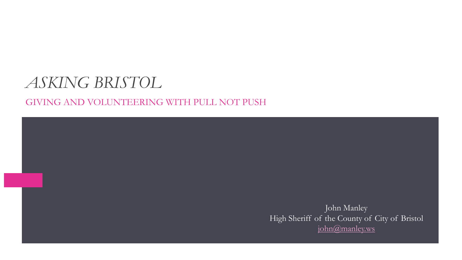## *ASKING BRISTOL*

GIVING AND VOLUNTEERING WITH PULL NOT PUSH

John Manley High Sheriff of the County of City of Bristol [john@manley.ws](mailto:john@manley.ws)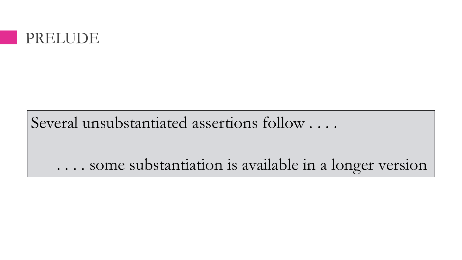

Several unsubstantiated assertions follow . . . .

. . . . some substantiation is available in a longer version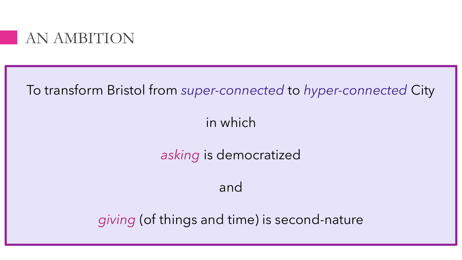

To transform Bristol from *super-connected* to *hyper-connected* City

in which

*asking* is democratized

and

*giving* (of things and time) is second-nature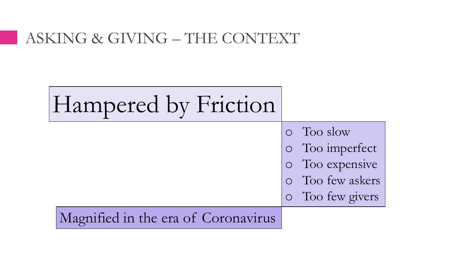### ASKING & GIVING – THE CONTEXT

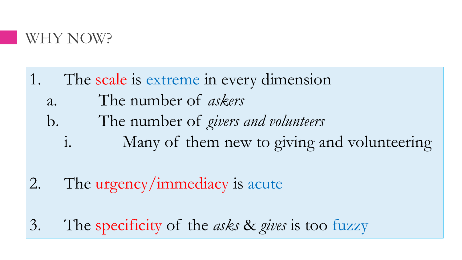

- 1. The scale is extreme in every dimension
	- a. The number of *askers*
	- b. The number of *givers and volunteers*
		- i. Many of them new to giving and volunteering
- 2. The urgency/immediacy is acute
- 3. The specificity of the *asks* & *gives* is too fuzzy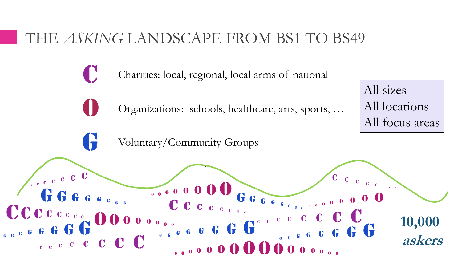## THE *ASKING* LANDSCAPE FROM BS1 TO BS49

Charities: local, regional, local arms of national

Organizations: schools, healthcare, arts, sports, …

All locations All focus areas

All sizes

Voluntary/Community Groups

C

 $\overline{0}$ 

G

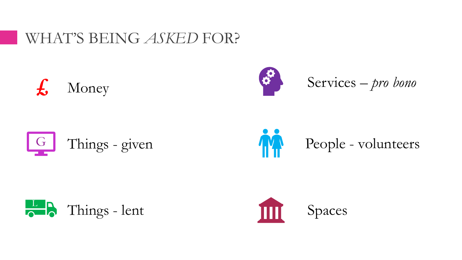## WHAT'S BEING *ASKED* FOR?











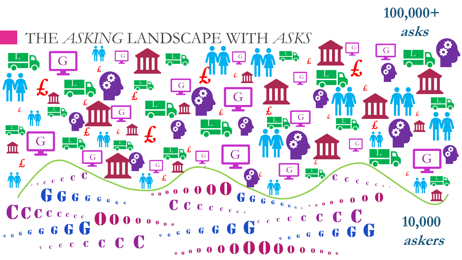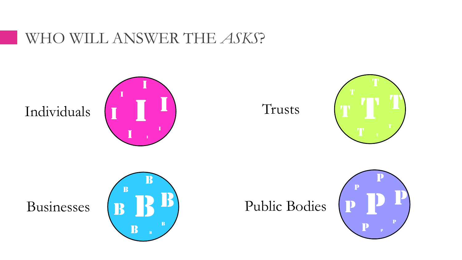## WHO WILL ANSWER THE *ASKS*?

Individuals











Public Bodies

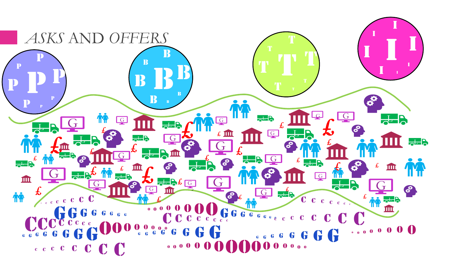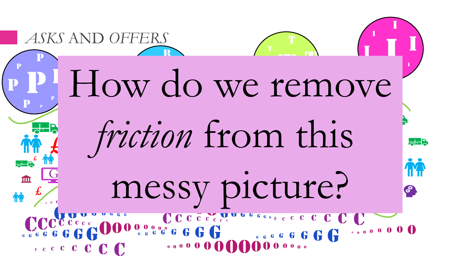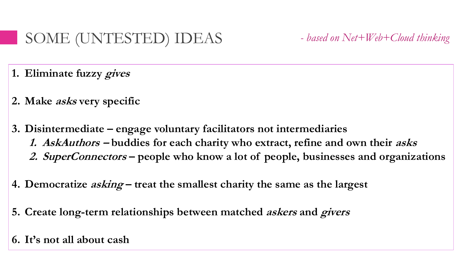## SOME (UNTESTED) IDEAS *- based on Net+Web+Cloud thinking*

- **1. Eliminate fuzzy gives**
- **2. Make asks very specific**
- **3. Disintermediate – engage voluntary facilitators not intermediaries 1. AskAuthors – buddies for each charity who extract, refine and own their asks 2. SuperConnectors – people who know a lot of people, businesses and organizations**
- **4. Democratize asking – treat the smallest charity the same as the largest**
- **5. Create long-term relationships between matched askers and givers**
- **6. It's not all about cash**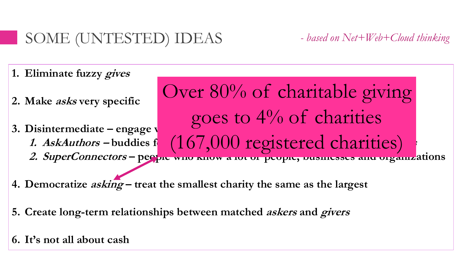# SOME (UNTESTED) IDEAS *- based on Net+Web+Cloud thinking*

- **1. Eliminate fuzzy gives**
- **2. Make asks very specific**
- **3.** Disintermediate engage v **1.** AskAuthors – buddies f (16/000 registered charities) **2. SuperConnectors – people who know a lot of people, businesses and organizations** goes to 4% of charities (167,000 registered charities)

Over 80% of charitable giving

- **4. Democratize asking – treat the smallest charity the same as the largest**
- **5. Create long-term relationships between matched askers and givers**
- **6. It's not all about cash**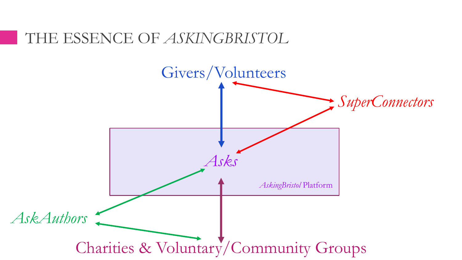### THE ESSENCE OF *ASKINGBRISTOL*

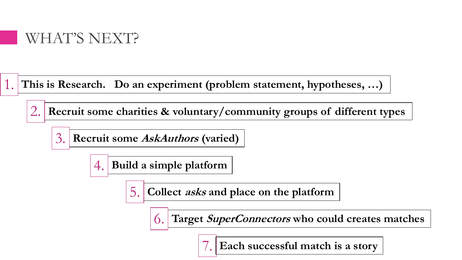

**This is Research. Do an experiment (problem statement, hypotheses, …)** 1.

**Recruit some charities & voluntary/community groups of different types** 2.

**Recruit some AskAuthors (varied)** 3.

> **Build a simple platform** 4.

> > **Collect asks and place on the platform** 5.

> > > **Target SuperConnectors who could creates matches**  $\overline{O}$ .

> > > > **Each successful match is a story** 7.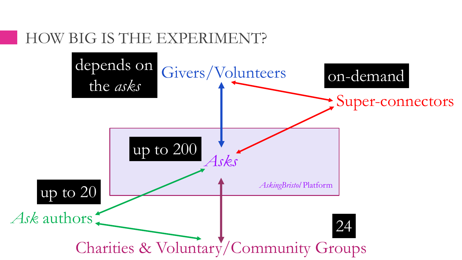## HOW BIG IS THE EXPERIMENT?

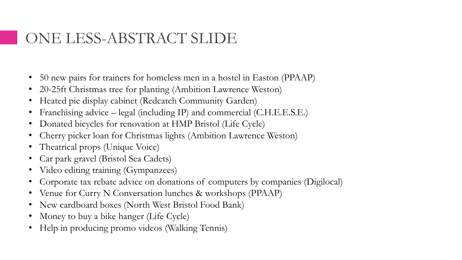## ONE LESS-ABSTRACT SLIDE

- 50 new pairs for trainers for homeless men in a hostel in Easton (PPAAP)
- 20-25ft Christmas tree for planting (Ambition Lawrence Weston)
- Heated pie display cabinet (Redcatch Community Garden)
- Franchising advice legal (including IP) and commercial (C.H.E.E.S.E.)
- Donated bicycles for renovation at HMP Bristol (Life Cycle)
- Cherry picker loan for Christmas lights (Ambition Lawrence Weston)
- Theatrical props (Unique Voice)
- Car park gravel (Bristol Sea Cadets)
- Video editing training (Gympanzees)
- Corporate tax rebate advice on donations of computers by companies (Digilocal)
- Venue for Curry N Conversation lunches & workshops (PPAAP)
- New cardboard boxes (North West Bristol Food Bank)
- Money to buy a bike hanger (Life Cycle)
- Help in producing promo videos (Walking Tennis)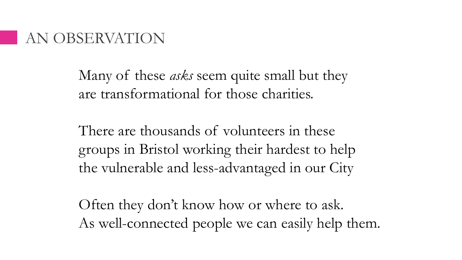### AN OBSERVATION

Many of these *asks* seem quite small but they are transformational for those charities.

There are thousands of volunteers in these groups in Bristol working their hardest to help the vulnerable and less-advantaged in our City

Often they don't know how or where to ask. As well-connected people we can easily help them.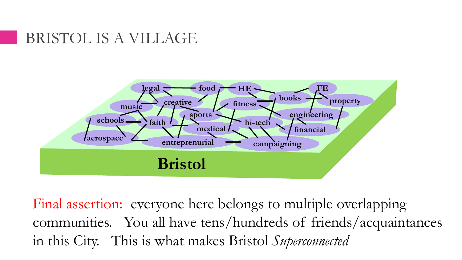## BRISTOL IS A VILLAGE



Final assertion: everyone here belongs to multiple overlapping communities. You all have tens/hundreds of friends/acquaintances in this City. This is what makes Bristol *Superconnected*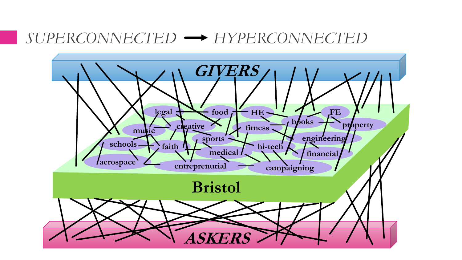#### *SUPERCONNECTED HYPERCONNECTED*